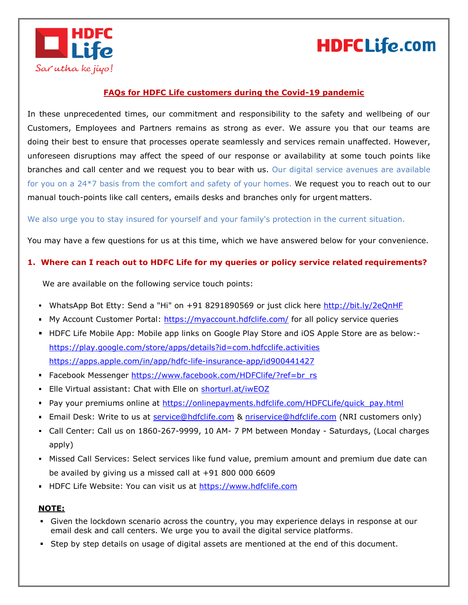



## **FAQs for HDFC Life customers during the Covid-19 pandemic**

In these unprecedented times, our commitment and responsibility to the safety and wellbeing of our Customers, Employees and Partners remains as strong as ever. We assure you that our teams are doing their best to ensure that processes operate seamlessly and services remain unaffected. However, unforeseen disruptions may affect the speed of our response or availability at some touch points like branches and call center and we request you to bear with us. Our digital service avenues are available for you on a 24\*7 basis from the comfort and safety of your homes. We request you to reach out to our manual touch-points like call centers, emails desks and branches only for urgent matters.

## We also urge you to stay insured for yourself and your family's protection in the current situation.

You may have a few questions for us at this time, which we have answered below for your convenience.

## **1. Where can I reach out to HDFC Life for my queries or policy service related requirements?**

We are available on the following service touch points:

- WhatsApp Bot Etty: Send a "Hi" on +91 8291890569 or just click here<http://bit.ly/2eQnHF>
- My Account Customer Portal:<https://myaccount.hdfclife.com/> for all policy service queries
- **HIDFC Life Mobile App: Mobile app links on Google Play Store and iOS Apple Store are as below:**<https://play.google.com/store/apps/details?id=com.hdfcclife.activities> <https://apps.apple.com/in/app/hdfc-life-insurance-app/id900441427>
- Facebook Messenger [https://www.facebook.com/HDFClife/?ref=br\\_rs](https://www.facebook.com/HDFClife/?ref=br_rs)
- Elle Virtual assistant: Chat with Elle on [shorturl.at/iwEOZ](https://senseforth.hdfclife.com/chat/responsiveChat.html)
- Pay your premiums online at [https://onlinepayments.hdfclife.com/HDFCLife/quick\\_pay.html](https://onlinepayments.hdfclife.com/HDFCLife/quick_pay.html)
- Email Desk: Write to us at [service@hdfclife.com](mailto:service@hdfclife.com) & [nriservice@hdfclife.com](mailto:nriservice@hdfclife.com) (NRI customers only)
- Call Center: Call us on 1860-267-9999, 10 AM- 7 PM between Monday Saturdays, (Local charges apply)
- Missed Call Services: Select services like fund value, premium amount and premium due date can be availed by giving us a missed call at +91 800 000 6609
- HDFC Life Website: You can visit us at [https://www.hdfclife.com](https://www.hdfclife.com/)

## **NOTE:**

- Given the lockdown scenario across the country, you may experience delays in response at our email desk and call centers. We urge you to avail the digital service platforms.
- Step by step details on usage of digital assets are mentioned at the end of this document.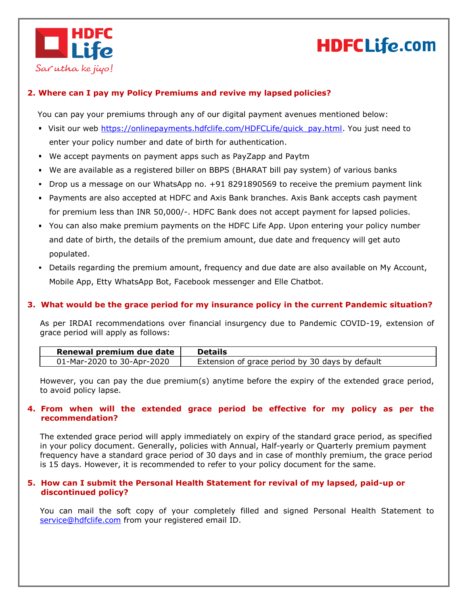



## **2. Where can I pay my Policy Premiums and revive my lapsed policies?**

You can pay your premiums through any of our digital payment avenues mentioned below:

- Visit our web [https://onlinepayments.hdfclife.com/HDFCLife/quick\\_pay.html.](https://onlinepayments.hdfclife.com/HDFCLife/quick_pay.html) You just need to enter your policy number and date of birth for authentication.
- We accept payments on payment apps such as PayZapp and Paytm
- We are available as a registered biller on BBPS (BHARAT bill pay system) of various banks
- Drop us a message on our WhatsApp no. +91 8291890569 to receive the premium payment link
- Payments are also accepted at HDFC and Axis Bank branches. Axis Bank accepts cash payment for premium less than INR 50,000/-. HDFC Bank does not accept payment for lapsed policies.
- You can also make premium payments on the HDFC Life App. Upon entering your policy number and date of birth, the details of the premium amount, due date and frequency will get auto populated.
- Details regarding the premium amount, frequency and due date are also available on My Account, Mobile App, Etty WhatsApp Bot, Facebook messenger and Elle Chatbot.

## **3. What would be the grace period for my insurance policy in the current Pandemic situation?**

As per IRDAI recommendations over financial insurgency due to Pandemic COVID-19, extension of grace period will apply as follows:

| Renewal premium due date   | Details                                         |
|----------------------------|-------------------------------------------------|
| 01-Mar-2020 to 30-Apr-2020 | Extension of grace period by 30 days by default |

However, you can pay the due premium(s) anytime before the expiry of the extended grace period, to avoid policy lapse.

## **4. From when will the extended grace period be effective for my policy as per the recommendation?**

The extended grace period will apply immediately on expiry of the standard grace period, as specified in your policy document. Generally, policies with Annual, Half-yearly or Quarterly premium payment frequency have a standard grace period of 30 days and in case of monthly premium, the grace period is 15 days. However, it is recommended to refer to your policy document for the same.

## **5. How can I submit the Personal Health Statement for revival of my lapsed, paid-up or discontinued policy?**

You can mail the soft copy of your completely filled and signed Personal Health Statement to [service@hdfclife.com](mailto:service@hdfclife.com) from your registered email ID.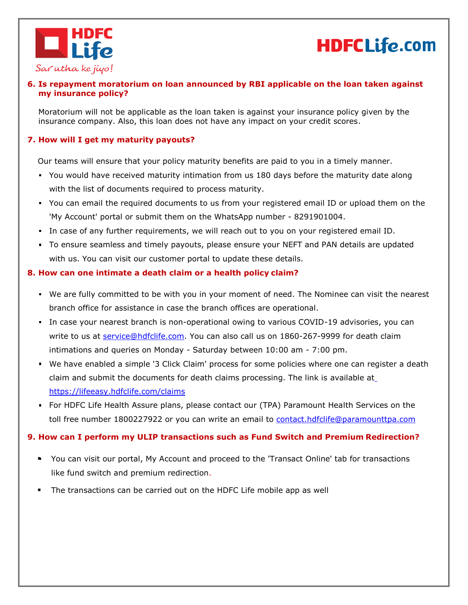



## **6. Is repayment moratorium on loan announced by RBI applicable on the loan taken against my insurance policy?**

Moratorium will not be applicable as the loan taken is against your insurance policy given by the insurance company. Also, this loan does not have any impact on your credit scores.

## **7. How will I get my maturity payouts?**

Our teams will ensure that your policy maturity benefits are paid to you in a timely manner.

- You would have received maturity intimation from us 180 days before the maturity date along with the list of documents required to process maturity.
- You can email the required documents to us from your registered email ID or upload them on the 'My Account' portal or submit them on the WhatsApp number - 8291901004.
- In case of any further requirements, we will reach out to you on your registered email ID.
- To ensure seamless and timely payouts, please ensure your NEFT and PAN details are updated with us. You can visit our customer portal to update these details.

## **8. How can one intimate a death claim or a health policy claim?**

- We are fully committed to be with you in your moment of need. The Nominee can visit the nearest branch office for assistance in case the branch offices are operational.
- In case your nearest branch is non-operational owing to various COVID-19 advisories, you can write to us at [service@hdfclife.com.](mailto:service@hdfclife.com) You can also call us on 1860-267-9999 for death claim intimations and queries on Monday - Saturday between 10:00 am - 7:00 pm.
- We have enabled a simple '3 Click Claim' process for some policies where one can register a death claim and submit the documents for death claims processing. The link is available a[t](file:///C:/Users/arter/AppData/Local/Temp/notes1B04D0/) <https://lifeeasy.hdfclife.com/claims>
- For HDFC Life Health Assure plans, please contact our (TPA) Paramount Health Services on the toll free number 1800227922 or you can write an email to contact[.hdfclife@paramounttpa.com](mailto:contact.hdfclife@paramounttpa.com)

## **9. [How can](mailto:contact.hdfclife@paramounttpa.com) I perform my ULIP transactions such as Fund Switch and Premium Redirection?**

- You can visit our portal, My Account and proceed to the 'Transact Online' tab for transactions like fund switch and premium redirection.
- The transactions can be carried out on the HDFC Life mobile app as well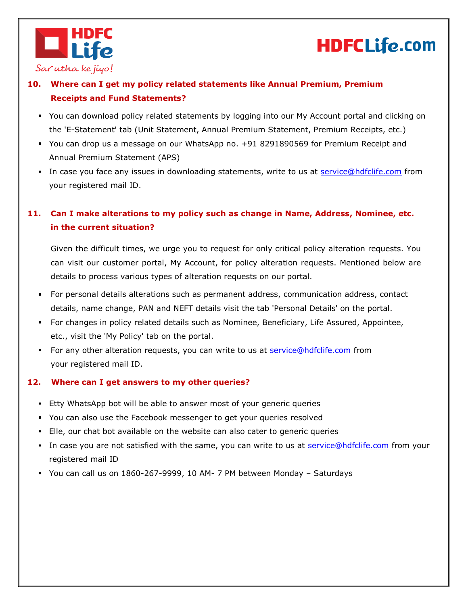



# **10. Where can I get my policy related statements like Annual Premium, Premium Receipts and Fund Statements?**

- You can download policy related statements by logging into our My Account portal and clicking on the 'E-Statement' tab (Unit Statement, Annual Premium Statement, Premium Receipts, etc.)
- You can drop us a message on our WhatsApp no. +91 8291890569 for Premium Receipt and Annual Premium Statement (APS)
- In case you face any issues in downloading statements, write to us at [service@hdfclife.com](mailto:service@hdfclife.com) from your registered mail ID.

# **11. Can I make alterations to my policy such as change in Name, Address, Nominee, etc. in the current situation?**

Given the difficult times, we urge you to request for only critical policy alteration requests. You can visit our customer portal, My Account, for policy alteration requests. Mentioned below are details to process various types of alteration requests on our portal.

- For personal details alterations such as permanent address, communication address, contact details, name change, PAN and NEFT details visit the tab 'Personal Details' on the portal.
- For changes in policy related details such as Nominee, Beneficiary, Life Assured, Appointee, etc., visit the 'My Policy' tab on the portal.
- For any other alteration requests, you can write to us at [service@hdfclife.com](mailto:service@hdfclife.com) from your registered mail ID.

# **12. Where can I get answers to my other queries?**

- Etty WhatsApp bot will be able to answer most of your generic queries
- You can also use the Facebook messenger to get your queries resolved
- Elle, our chat bot available on the website can also cater to generic queries
- In case you are not satisfied with the same, you can write to us at [service@hdfclife.com](mailto:service@hdfclife.com) from your registered mail ID
- You can call us on 1860-267-9999, 10 AM- 7 PM between Monday Saturdays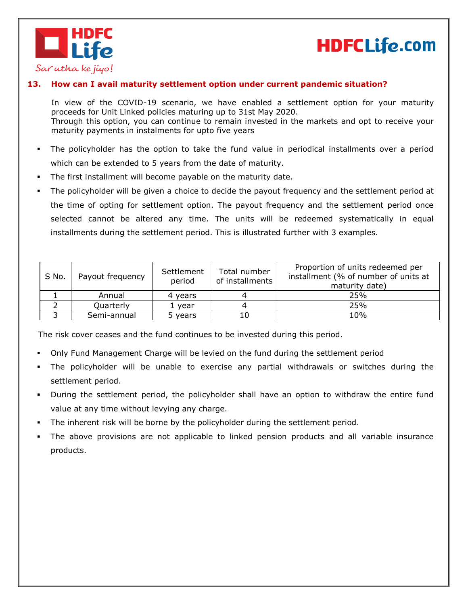



## **13. How can I avail maturity settlement option under current pandemic situation?**

In view of the COVID-19 scenario, we have enabled a settlement option for your maturity proceeds for Unit Linked policies maturing up to 31st May 2020. Through this option, you can continue to remain invested in the markets and opt to receive your maturity payments in instalments for upto five years

- The policyholder has the option to take the fund value in periodical installments over a period which can be extended to 5 years from the date of maturity.
- The first installment will become payable on the maturity date.
- The policyholder will be given a choice to decide the payout frequency and the settlement period at the time of opting for settlement option. The payout frequency and the settlement period once selected cannot be altered any time. The units will be redeemed systematically in equal installments during the settlement period. This is illustrated further with 3 examples.

| S No. | Payout frequency | Settlement<br>period | Total number<br>of installments | Proportion of units redeemed per<br>installment (% of number of units at<br>maturity date) |
|-------|------------------|----------------------|---------------------------------|--------------------------------------------------------------------------------------------|
|       | Annual           | 4 vears              | 4                               | 25%                                                                                        |
|       | Quarterly        | 1 year               | 4                               | 25%                                                                                        |
|       | Semi-annual      | vears                | 10                              | 10%                                                                                        |

The risk cover ceases and the fund continues to be invested during this period.

- Only Fund Management Charge will be levied on the fund during the settlement period
- The policyholder will be unable to exercise any partial withdrawals or switches during the settlement period.
- During the settlement period, the policyholder shall have an option to withdraw the entire fund value at any time without levying any charge.
- The inherent risk will be borne by the policyholder during the settlement period.
- The above provisions are not applicable to linked pension products and all variable insurance products.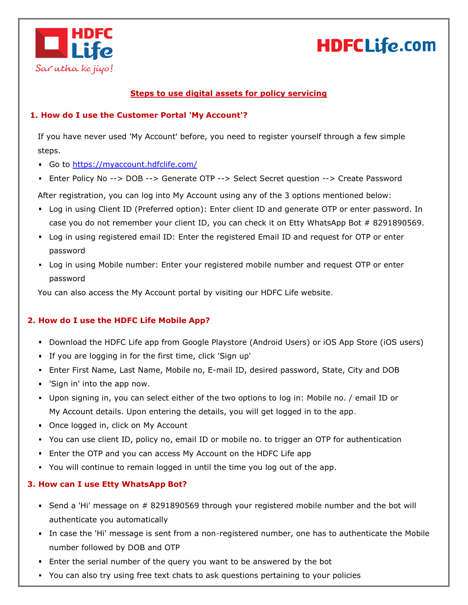



# **Steps to use digital assets for policy servicing**

## **1. How do I use the Customer Portal 'My Account'?**

If you have never used 'My Account' before, you need to register yourself through a few simple steps.

- Go to<https://myaccount.hdfclife.com/>
- Enter Policy No --> DOB --> Generate OTP --> Select Secret question --> Create Password

After registration, you can log into My Account using any of the 3 options mentioned below:

- Log in using Client ID (Preferred option): Enter client ID and generate OTP or enter password. In case you do not remember your client ID, you can check it on Etty WhatsApp Bot # 8291890569.
- Log in using registered email ID: Enter the registered Email ID and request for OTP or enter password
- Log in using Mobile number: Enter your registered mobile number and request OTP or enter password

You can also access the My Account portal by visiting our HDFC Life website.

## **2. How do I use the HDFC Life Mobile App?**

- **Download the HDFC Life app from Google Playstore (Android Users) or iOS App Store (iOS users)**
- If you are logging in for the first time, click 'Sign up'
- Enter First Name, Last Name, Mobile no, E-mail ID, desired password, State, City and DOB
- 'Sign in' into the app now.
- Upon signing in, you can select either of the two options to log in: Mobile no. / email ID or My Account details. Upon entering the details, you will get logged in to the app.
- **Demogled in, click on My Account**
- You can use client ID, policy no, email ID or mobile no. to trigger an OTP for authentication
- **Enter the OTP and you can access My Account on the HDFC Life app**
- You will continue to remain logged in until the time you log out of the app.

## **3. How can I use Etty WhatsApp Bot?**

- Send a 'Hi' message on # 8291890569 through your registered mobile number and the bot will authenticate you automatically
- In case the 'Hi' message is sent from a non-registered number, one has to authenticate the Mobile number followed by DOB and OTP
- Enter the serial number of the query you want to be answered by the bot
- You can also try using free text chats to ask questions pertaining to your policies